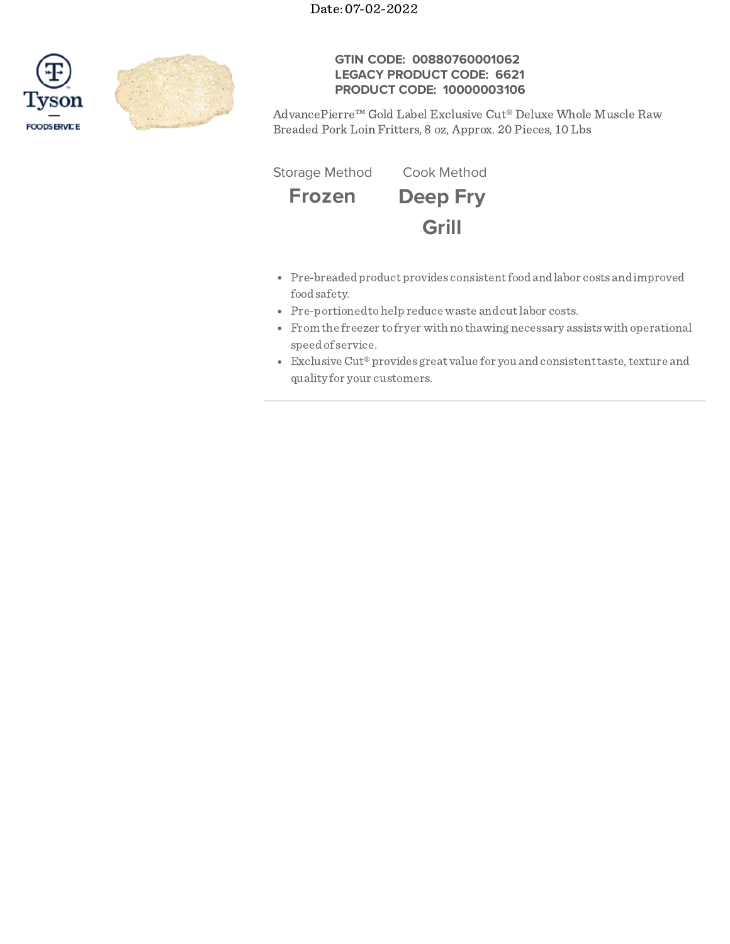Date: 07-02-2022





## **GTIN CODE: 00880760001062 LEGACY PRODUCT CODE: 6621 PRODUCT CODE: 10000003106**

AdvancePierre™ Gold Label Exclusive Cut® Deluxe Whole Muscle Raw Breaded Pork Loin Fritters, 8 oz, Approx. 20 Pieces, 10 Lbs

**Frozen Deep Fry Grill** Storage Method Cook Method

- Pre-breadedproduct provides consistentfoodandlabor costs andimproved foodsafety.
- Pre-portioned to help reduce waste and cut labor costs.
- From the freezer to fryer with no thawing necessary assistswith operational speedof service.
- Exclusive Cut® provides great value for you and consistent taste, texture and quality for your customers.